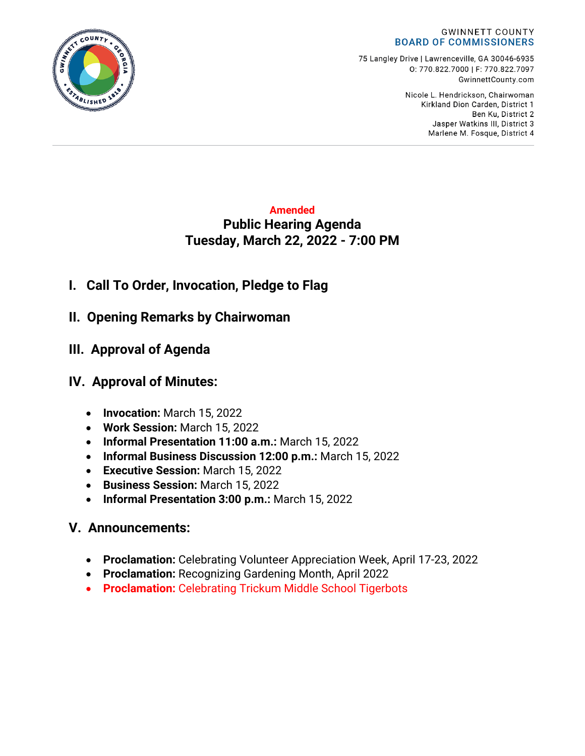#### **GWINNETT COUNTY BOARD OF COMMISSIONERS**

75 Langley Drive | Lawrenceville, GA 30046-6935 0:770.822.7000 | F: 770.822.7097 GwinnettCounty.com

> Nicole L. Hendrickson, Chairwoman Kirkland Dion Carden, District 1 Ben Ku. District 2 Jasper Watkins III, District 3 Marlene M. Fosque, District 4

## **Amended Public Hearing Agenda Tuesday, March 22, 2022 - 7:00 PM**

- **I. Call To Order, Invocation, Pledge to Flag**
- **II. Opening Remarks by Chairwoman**
- **III. Approval of Agenda**

# **IV. Approval of Minutes:**

- **Invocation:** March 15, 2022
- **Work Session:** March 15, 2022
- **Informal Presentation 11:00 a.m.:** March 15, 2022
- **Informal Business Discussion 12:00 p.m.:** March 15, 2022
- **Executive Session:** March 15, 2022
- **Business Session:** March 15, 2022
- **Informal Presentation 3:00 p.m.:** March 15, 2022

# **V. Announcements:**

- **Proclamation:** Celebrating Volunteer Appreciation Week, April 17-23, 2022
- **Proclamation:** Recognizing Gardening Month, April 2022
- **Proclamation:** Celebrating Trickum Middle School Tigerbots

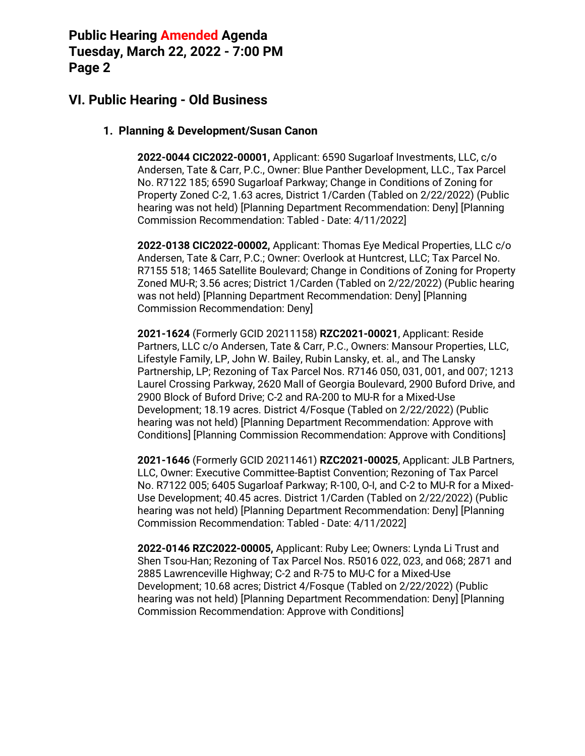## **VI. Public Hearing - Old Business**

#### **1. Planning & Development/Susan Canon**

**2022-0044 CIC2022-00001,** Applicant: 6590 Sugarloaf Investments, LLC, c/o Andersen, Tate & Carr, P.C., Owner: Blue Panther Development, LLC., Tax Parcel No. R7122 185; 6590 Sugarloaf Parkway; Change in Conditions of Zoning for Property Zoned C-2, 1.63 acres, District 1/Carden (Tabled on 2/22/2022) (Public hearing was not held) [Planning Department Recommendation: Deny] [Planning Commission Recommendation: Tabled - Date: 4/11/2022]

**2022-0138 CIC2022-00002,** Applicant: Thomas Eye Medical Properties, LLC c/o Andersen, Tate & Carr, P.C.; Owner: Overlook at Huntcrest, LLC; Tax Parcel No. R7155 518; 1465 Satellite Boulevard; Change in Conditions of Zoning for Property Zoned MU-R; 3.56 acres; District 1/Carden (Tabled on 2/22/2022) (Public hearing was not held) [Planning Department Recommendation: Deny] [Planning Commission Recommendation: Deny]

**2021-1624** (Formerly GCID 20211158) **RZC2021-00021**, Applicant: Reside Partners, LLC c/o Andersen, Tate & Carr, P.C., Owners: Mansour Properties, LLC, Lifestyle Family, LP, John W. Bailey, Rubin Lansky, et. al., and The Lansky Partnership, LP; Rezoning of Tax Parcel Nos. R7146 050, 031, 001, and 007; 1213 Laurel Crossing Parkway, 2620 Mall of Georgia Boulevard, 2900 Buford Drive, and 2900 Block of Buford Drive; C-2 and RA-200 to MU-R for a Mixed-Use Development; 18.19 acres. District 4/Fosque (Tabled on 2/22/2022) (Public hearing was not held) [Planning Department Recommendation: Approve with Conditions] [Planning Commission Recommendation: Approve with Conditions]

**2021-1646** (Formerly GCID 20211461) **RZC2021-00025**, Applicant: JLB Partners, LLC, Owner: Executive Committee-Baptist Convention; Rezoning of Tax Parcel No. R7122 005; 6405 Sugarloaf Parkway; R-100, O-I, and C-2 to MU-R for a Mixed-Use Development; 40.45 acres. District 1/Carden (Tabled on 2/22/2022) (Public hearing was not held) [Planning Department Recommendation: Deny] [Planning Commission Recommendation: Tabled - Date: 4/11/2022]

**2022-0146 RZC2022-00005,** Applicant: Ruby Lee; Owners: Lynda Li Trust and Shen Tsou-Han; Rezoning of Tax Parcel Nos. R5016 022, 023, and 068; 2871 and 2885 Lawrenceville Highway; C-2 and R-75 to MU-C for a Mixed-Use Development; 10.68 acres; District 4/Fosque (Tabled on 2/22/2022) (Public hearing was not held) [Planning Department Recommendation: Deny] [Planning Commission Recommendation: Approve with Conditions]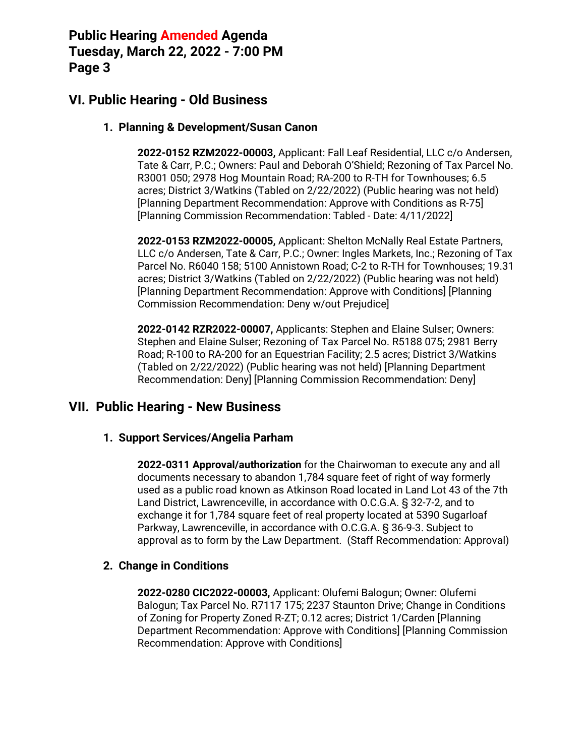## **VI. Public Hearing - Old Business**

#### **1. Planning & Development/Susan Canon**

**2022-0152 RZM2022-00003,** Applicant: Fall Leaf Residential, LLC c/o Andersen, Tate & Carr, P.C.; Owners: Paul and Deborah O'Shield; Rezoning of Tax Parcel No. R3001 050; 2978 Hog Mountain Road; RA-200 to R-TH for Townhouses; 6.5 acres; District 3/Watkins (Tabled on 2/22/2022) (Public hearing was not held) [Planning Department Recommendation: Approve with Conditions as R-75] [Planning Commission Recommendation: Tabled - Date: 4/11/2022]

**2022-0153 RZM2022-00005,** Applicant: Shelton McNally Real Estate Partners, LLC c/o Andersen, Tate & Carr, P.C.; Owner: Ingles Markets, Inc.; Rezoning of Tax Parcel No. R6040 158; 5100 Annistown Road; C-2 to R-TH for Townhouses; 19.31 acres; District 3/Watkins (Tabled on 2/22/2022) (Public hearing was not held) [Planning Department Recommendation: Approve with Conditions] [Planning Commission Recommendation: Deny w/out Prejudice]

**2022-0142 RZR2022-00007,** Applicants: Stephen and Elaine Sulser; Owners: Stephen and Elaine Sulser; Rezoning of Tax Parcel No. R5188 075; 2981 Berry Road; R-100 to RA-200 for an Equestrian Facility; 2.5 acres; District 3/Watkins (Tabled on 2/22/2022) (Public hearing was not held) [Planning Department Recommendation: Deny] [Planning Commission Recommendation: Deny]

### **VII. Public Hearing - New Business**

#### **1. Support Services/Angelia Parham**

**2022-0311 Approval/authorization** for the Chairwoman to execute any and all documents necessary to abandon 1,784 square feet of right of way formerly used as a public road known as Atkinson Road located in Land Lot 43 of the 7th Land District, Lawrenceville, in accordance with O.C.G.A. § 32-7-2, and to exchange it for 1,784 square feet of real property located at 5390 Sugarloaf Parkway, Lawrenceville, in accordance with O.C.G.A. § 36-9-3. Subject to approval as to form by the Law Department. (Staff Recommendation: Approval)

#### **2. Change in Conditions**

**2022-0280 CIC2022-00003,** Applicant: Olufemi Balogun; Owner: Olufemi Balogun; Tax Parcel No. R7117 175; 2237 Staunton Drive; Change in Conditions of Zoning for Property Zoned R-ZT; 0.12 acres; District 1/Carden [Planning Department Recommendation: Approve with Conditions] [Planning Commission Recommendation: Approve with Conditions]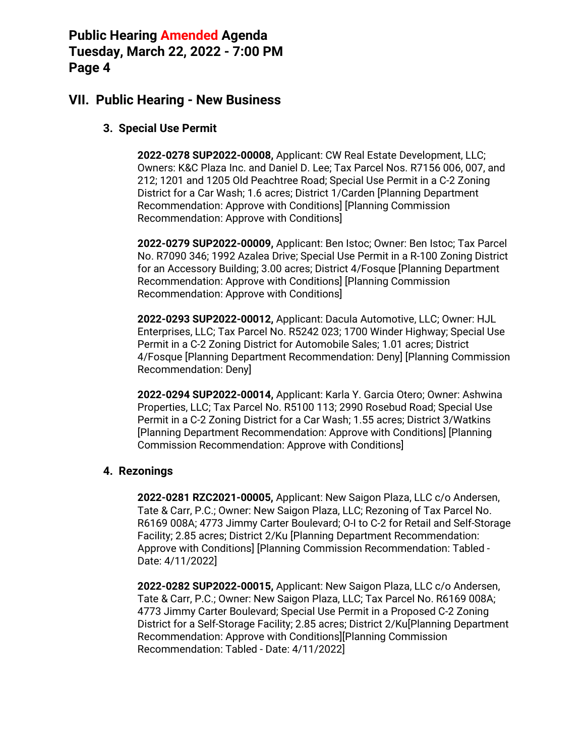### **VII. Public Hearing - New Business**

### **3. Special Use Permit**

**2022-0278 SUP2022-00008,** Applicant: CW Real Estate Development, LLC; Owners: K&C Plaza Inc. and Daniel D. Lee; Tax Parcel Nos. R7156 006, 007, and 212; 1201 and 1205 Old Peachtree Road; Special Use Permit in a C-2 Zoning District for a Car Wash; 1.6 acres; District 1/Carden [Planning Department Recommendation: Approve with Conditions] [Planning Commission Recommendation: Approve with Conditions]

**2022-0279 SUP2022-00009,** Applicant: Ben Istoc; Owner: Ben Istoc; Tax Parcel No. R7090 346; 1992 Azalea Drive; Special Use Permit in a R-100 Zoning District for an Accessory Building; 3.00 acres; District 4/Fosque [Planning Department Recommendation: Approve with Conditions] [Planning Commission Recommendation: Approve with Conditions]

**2022-0293 SUP2022-00012,** Applicant: Dacula Automotive, LLC; Owner: HJL Enterprises, LLC; Tax Parcel No. R5242 023; 1700 Winder Highway; Special Use Permit in a C-2 Zoning District for Automobile Sales; 1.01 acres; District 4/Fosque [Planning Department Recommendation: Deny] [Planning Commission Recommendation: Deny]

**2022-0294 SUP2022-00014,** Applicant: Karla Y. Garcia Otero; Owner: Ashwina Properties, LLC; Tax Parcel No. R5100 113; 2990 Rosebud Road; Special Use Permit in a C-2 Zoning District for a Car Wash; 1.55 acres; District 3/Watkins [Planning Department Recommendation: Approve with Conditions] [Planning Commission Recommendation: Approve with Conditions]

#### **4. Rezonings**

**2022-0281 RZC2021-00005,** Applicant: New Saigon Plaza, LLC c/o Andersen, Tate & Carr, P.C.; Owner: New Saigon Plaza, LLC; Rezoning of Tax Parcel No. R6169 008A; 4773 Jimmy Carter Boulevard; O-I to C-2 for Retail and Self-Storage Facility; 2.85 acres; District 2/Ku [Planning Department Recommendation: Approve with Conditions] [Planning Commission Recommendation: Tabled - Date: 4/11/2022]

**2022-0282 SUP2022-00015,** Applicant: New Saigon Plaza, LLC c/o Andersen, Tate & Carr, P.C.; Owner: New Saigon Plaza, LLC; Tax Parcel No. R6169 008A; 4773 Jimmy Carter Boulevard; Special Use Permit in a Proposed C-2 Zoning District for a Self-Storage Facility; 2.85 acres; District 2/Ku[Planning Department Recommendation: Approve with Conditions][Planning Commission Recommendation: Tabled - Date: 4/11/2022]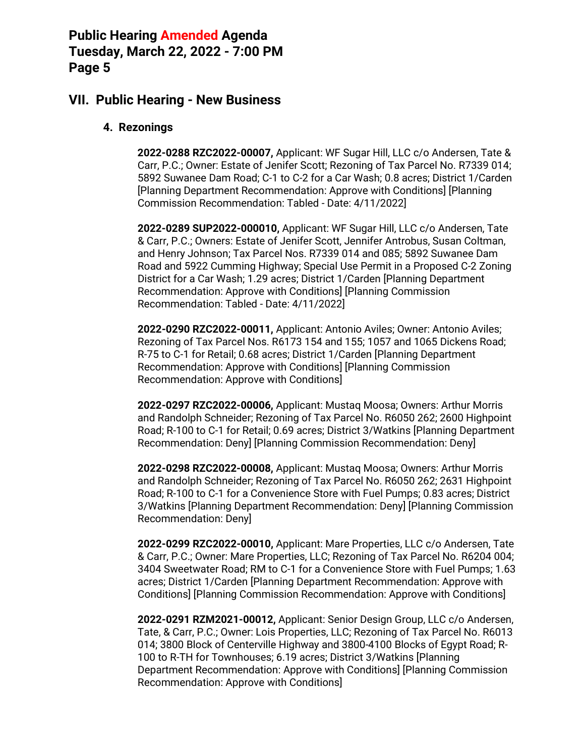### **VII. Public Hearing - New Business**

#### **4. Rezonings**

**2022-0288 RZC2022-00007,** Applicant: WF Sugar Hill, LLC c/o Andersen, Tate & Carr, P.C.; Owner: Estate of Jenifer Scott; Rezoning of Tax Parcel No. R7339 014; 5892 Suwanee Dam Road; C-1 to C-2 for a Car Wash; 0.8 acres; District 1/Carden [Planning Department Recommendation: Approve with Conditions] [Planning Commission Recommendation: Tabled - Date: 4/11/2022]

**2022-0289 SUP2022-000010,** Applicant: WF Sugar Hill, LLC c/o Andersen, Tate & Carr, P.C.; Owners: Estate of Jenifer Scott, Jennifer Antrobus, Susan Coltman, and Henry Johnson; Tax Parcel Nos. R7339 014 and 085; 5892 Suwanee Dam Road and 5922 Cumming Highway; Special Use Permit in a Proposed C-2 Zoning District for a Car Wash; 1.29 acres; District 1/Carden [Planning Department Recommendation: Approve with Conditions] [Planning Commission Recommendation: Tabled - Date: 4/11/2022]

**2022-0290 RZC2022-00011,** Applicant: Antonio Aviles; Owner: Antonio Aviles; Rezoning of Tax Parcel Nos. R6173 154 and 155; 1057 and 1065 Dickens Road; R-75 to C-1 for Retail; 0.68 acres; District 1/Carden [Planning Department Recommendation: Approve with Conditions] [Planning Commission Recommendation: Approve with Conditions]

**2022-0297 RZC2022-00006,** Applicant: Mustaq Moosa; Owners: Arthur Morris and Randolph Schneider; Rezoning of Tax Parcel No. R6050 262; 2600 Highpoint Road; R-100 to C-1 for Retail; 0.69 acres; District 3/Watkins [Planning Department Recommendation: Deny] [Planning Commission Recommendation: Deny]

**2022-0298 RZC2022-00008,** Applicant: Mustaq Moosa; Owners: Arthur Morris and Randolph Schneider; Rezoning of Tax Parcel No. R6050 262; 2631 Highpoint Road; R-100 to C-1 for a Convenience Store with Fuel Pumps; 0.83 acres; District 3/Watkins [Planning Department Recommendation: Deny] [Planning Commission Recommendation: Deny]

**2022-0299 RZC2022-00010,** Applicant: Mare Properties, LLC c/o Andersen, Tate & Carr, P.C.; Owner: Mare Properties, LLC; Rezoning of Tax Parcel No. R6204 004; 3404 Sweetwater Road; RM to C-1 for a Convenience Store with Fuel Pumps; 1.63 acres; District 1/Carden [Planning Department Recommendation: Approve with Conditions] [Planning Commission Recommendation: Approve with Conditions]

**2022-0291 RZM2021-00012,** Applicant: Senior Design Group, LLC c/o Andersen, Tate, & Carr, P.C.; Owner: Lois Properties, LLC; Rezoning of Tax Parcel No. R6013 014; 3800 Block of Centerville Highway and 3800-4100 Blocks of Egypt Road; R-100 to R-TH for Townhouses; 6.19 acres; District 3/Watkins [Planning Department Recommendation: Approve with Conditions] [Planning Commission Recommendation: Approve with Conditions]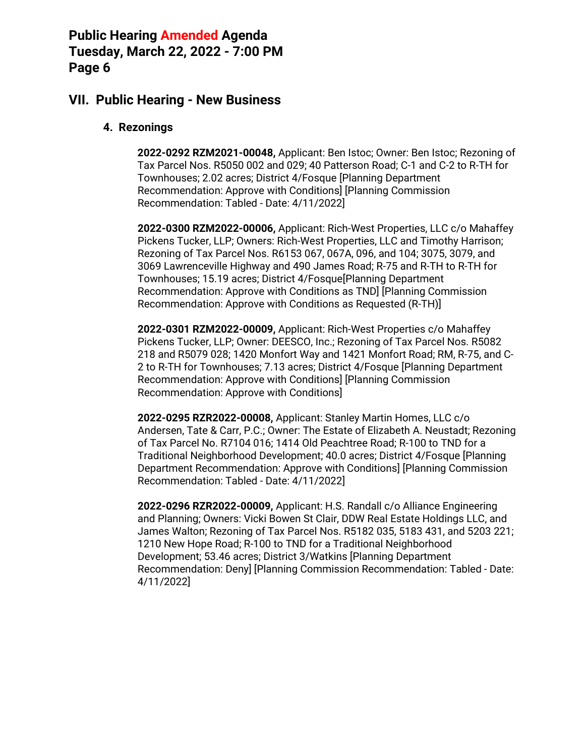### **VII. Public Hearing - New Business**

#### **4. Rezonings**

**2022-0292 RZM2021-00048,** Applicant: Ben Istoc; Owner: Ben Istoc; Rezoning of Tax Parcel Nos. R5050 002 and 029; 40 Patterson Road; C-1 and C-2 to R-TH for Townhouses; 2.02 acres; District 4/Fosque [Planning Department Recommendation: Approve with Conditions] [Planning Commission Recommendation: Tabled - Date: 4/11/2022]

**2022-0300 RZM2022-00006,** Applicant: Rich-West Properties, LLC c/o Mahaffey Pickens Tucker, LLP; Owners: Rich-West Properties, LLC and Timothy Harrison; Rezoning of Tax Parcel Nos. R6153 067, 067A, 096, and 104; 3075, 3079, and 3069 Lawrenceville Highway and 490 James Road; R-75 and R-TH to R-TH for Townhouses; 15.19 acres; District 4/Fosque[Planning Department Recommendation: Approve with Conditions as TND] [Planning Commission Recommendation: Approve with Conditions as Requested (R-TH)]

**2022-0301 RZM2022-00009,** Applicant: Rich-West Properties c/o Mahaffey Pickens Tucker, LLP; Owner: DEESCO, Inc.; Rezoning of Tax Parcel Nos. R5082 218 and R5079 028; 1420 Monfort Way and 1421 Monfort Road; RM, R-75, and C-2 to R-TH for Townhouses; 7.13 acres; District 4/Fosque [Planning Department Recommendation: Approve with Conditions] [Planning Commission Recommendation: Approve with Conditions]

**2022-0295 RZR2022-00008,** Applicant: Stanley Martin Homes, LLC c/o Andersen, Tate & Carr, P.C.; Owner: The Estate of Elizabeth A. Neustadt; Rezoning of Tax Parcel No. R7104 016; 1414 Old Peachtree Road; R-100 to TND for a Traditional Neighborhood Development; 40.0 acres; District 4/Fosque [Planning Department Recommendation: Approve with Conditions] [Planning Commission Recommendation: Tabled - Date: 4/11/2022]

**2022-0296 RZR2022-00009,** Applicant: H.S. Randall c/o Alliance Engineering and Planning; Owners: Vicki Bowen St Clair, DDW Real Estate Holdings LLC, and James Walton; Rezoning of Tax Parcel Nos. R5182 035, 5183 431, and 5203 221; 1210 New Hope Road; R-100 to TND for a Traditional Neighborhood Development; 53.46 acres; District 3/Watkins [Planning Department Recommendation: Deny] [Planning Commission Recommendation: Tabled - Date: 4/11/2022]